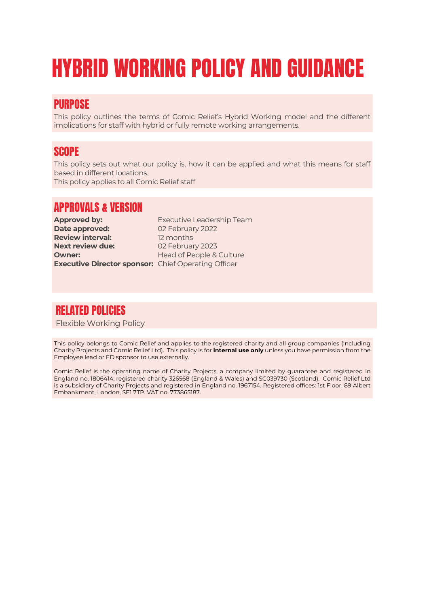# HYBRID WORKING POLICY AND GUIDANCE

# PURPOSE

This policy outlines the terms of Comic Relief's Hybrid Working model and the different implications for staff with hybrid or fully remote working arrangements.

## **SCOPE**

This policy sets out what our policy is, how it can be applied and what this means for staff based in different locations.

This policy applies to all Comic Relief staff

# APPROVALS & VERSION

**Date approved:** 02 February 2022 **Review interval:** 12 months **Next review due:** 02 February 2023 **Owner:** Head of People & Culture **Executive Director sponsor:** Chief Operating Officer

**Approved by:** Executive Leadership Team

# RELATED POLICIES

Flexible Working Policy

This policy belongs to Comic Relief and applies to the registered charity and all group companies (including Charity Projects and Comic Relief Ltd). This policy is for **internal use only** unless you have permission from the Employee lead or ED sponsor to use externally.

Comic Relief is the operating name of Charity Projects, a company limited by guarantee and registered in England no. 1806414; registered charity 326568 (England & Wales) and SC039730 (Scotland). Comic Relief Ltd is a subsidiary of Charity Projects and registered in England no. 1967154. Registered offices: 1st Floor, 89 Albert Embankment, London, SE1 7TP. VAT no. 773865187.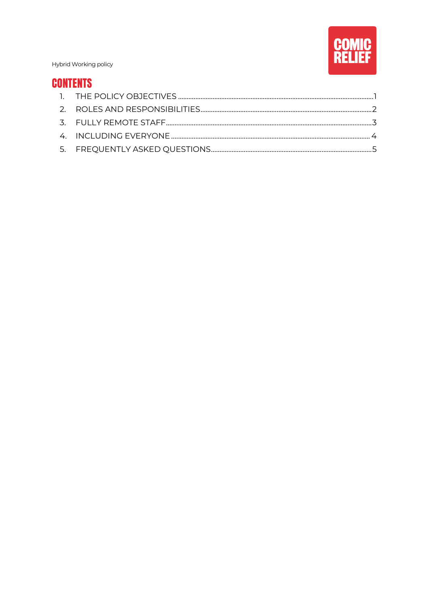

# **CONTENTS**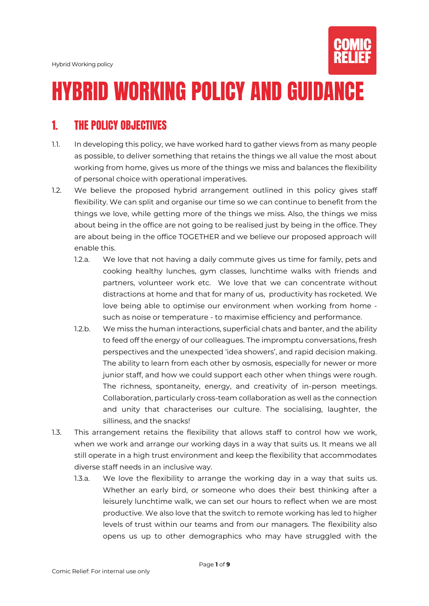

# HYBRID WORKING POLICY AND GUIDANCE

# <span id="page-2-0"></span>1. THE POLICY OBJECTIVES

- 1.1. In developing this policy, we have worked hard to gather views from as many people as possible, to deliver something that retains the things we all value the most about working from home, gives us more of the things we miss and balances the flexibility of personal choice with operational imperatives.
- 1.2. We believe the proposed hybrid arrangement outlined in this policy gives staff flexibility. We can split and organise our time so we can continue to benefit from the things we love, while getting more of the things we miss. Also, the things we miss about being in the office are not going to be realised just by being in the office. They are about being in the office TOGETHER and we believe our proposed approach will enable this.
	- 1.2.a. We love that not having a daily commute gives us time for family, pets and cooking healthy lunches, gym classes, lunchtime walks with friends and partners, volunteer work etc. We love that we can concentrate without distractions at home and that for many of us, productivity has rocketed. We love being able to optimise our environment when working from home such as noise or temperature - to maximise efficiency and performance.
	- 1.2.b. We miss the human interactions, superficial chats and banter, and the ability to feed off the energy of our colleagues. The impromptu conversations, fresh perspectives and the unexpected 'idea showers', and rapid decision making. The ability to learn from each other by osmosis, especially for newer or more junior staff, and how we could support each other when things were rough. The richness, spontaneity, energy, and creativity of in-person meetings. Collaboration, particularly cross-team collaboration as well as the connection and unity that characterises our culture. The socialising, laughter, the silliness, and the snacks!
- 1.3. This arrangement retains the flexibility that allows staff to control how we work, when we work and arrange our working days in a way that suits us. It means we all still operate in a high trust environment and keep the flexibility that accommodates diverse staff needs in an inclusive way.
	- 1.3.a. We love the flexibility to arrange the working day in a way that suits us. Whether an early bird, or someone who does their best thinking after a leisurely lunchtime walk, we can set our hours to reflect when we are most productive. We also love that the switch to remote working has led to higher levels of trust within our teams and from our managers. The flexibility also opens us up to other demographics who may have struggled with the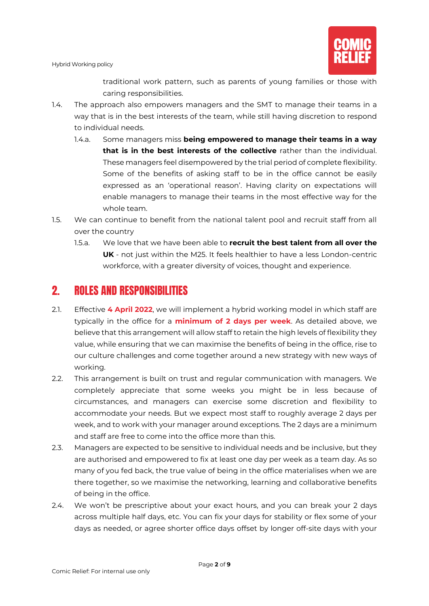

traditional work pattern, such as parents of young families or those with caring responsibilities.

- 1.4. The approach also empowers managers and the SMT to manage their teams in a way that is in the best interests of the team, while still having discretion to respond to individual needs.
	- 1.4.a. Some managers miss **being empowered to manage their teams in a way that is in the best interests of the collective** rather than the individual. These managers feel disempowered by the trial period of complete flexibility. Some of the benefits of asking staff to be in the office cannot be easily expressed as an 'operational reason'. Having clarity on expectations will enable managers to manage their teams in the most effective way for the whole team.
- 1.5. We can continue to benefit from the national talent pool and recruit staff from all over the country
	- 1.5.a. We love that we have been able to **recruit the best talent from all over the UK** - not just within the M25. It feels healthier to have a less London-centric workforce, with a greater diversity of voices, thought and experience.

# <span id="page-3-0"></span>2. ROLES AND RESPONSIBILITIES

- 2.1. Effective **4 April 2022**, we will implement a hybrid working model in which staff are typically in the office for a **minimum of 2 days per week**. As detailed above, we believe that this arrangement will allow staff to retain the high levels of flexibility they value, while ensuring that we can maximise the benefits of being in the office, rise to our culture challenges and come together around a new strategy with new ways of working.
- 2.2. This arrangement is built on trust and regular communication with managers. We completely appreciate that some weeks you might be in less because of circumstances, and managers can exercise some discretion and flexibility to accommodate your needs. But we expect most staff to roughly average 2 days per week, and to work with your manager around exceptions. The 2 days are a minimum and staff are free to come into the office more than this.
- 2.3. Managers are expected to be sensitive to individual needs and be inclusive, but they are authorised and empowered to fix at least one day per week as a team day. As so many of you fed back, the true value of being in the office materialises when we are there together, so we maximise the networking, learning and collaborative benefits of being in the office.
- 2.4. We won't be prescriptive about your exact hours, and you can break your 2 days across multiple half days, etc. You can fix your days for stability or flex some of your days as needed, or agree shorter office days offset by longer off-site days with your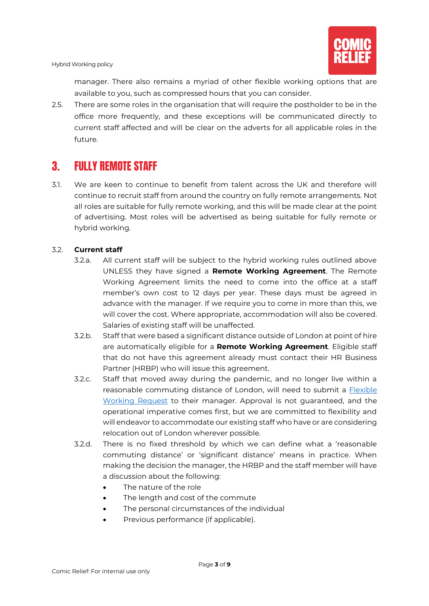manager. There also remains a myriad of other flexible working options that are available to you, such as compressed hours that you can consider.

2.5. There are some roles in the organisation that will require the postholder to be in the office more frequently, and these exceptions will be communicated directly to current staff affected and will be clear on the adverts for all applicable roles in the future.

# <span id="page-4-0"></span>3. FULLY REMOTE STAFF

3.1. We are keen to continue to benefit from talent across the UK and therefore will continue to recruit staff from around the country on fully remote arrangements. Not all roles are suitable for fully remote working, and this will be made clear at the point of advertising. Most roles will be advertised as being suitable for fully remote or hybrid working.

#### 3.2. **Current staff**

- 3.2.a. All current staff will be subject to the hybrid working rules outlined above UNLESS they have signed a **Remote Working Agreement**. The Remote Working Agreement limits the need to come into the office at a staff member's own cost to 12 days per year. These days must be agreed in advance with the manager. If we require you to come in more than this, we will cover the cost. Where appropriate, accommodation will also be covered. Salaries of existing staff will be unaffected.
- 3.2.b. Staff that were based a significant distance outside of London at point of hire are automatically eligible for a **Remote Working Agreement**. Eligible staff that do not have this agreement already must contact their HR Business Partner (HRBP) who will issue this agreement.
- 3.2.c. Staff that moved away during the pandemic, and no longer live within a reasonable commuting distance of London, will need to submit a Flexible [Working Request](https://comicrelief.box.com/s/93nmhnk6s7fekehgmcgf3l0x9xwdsg1t) to their manager. Approval is not guaranteed, and the operational imperative comes first, but we are committed to flexibility and will endeavor to accommodate our existing staff who have or are considering relocation out of London wherever possible.
- 3.2.d. There is no fixed threshold by which we can define what a 'reasonable commuting distance' or 'significant distance' means in practice. When making the decision the manager, the HRBP and the staff member will have a discussion about the following:
	- The nature of the role
	- The length and cost of the commute
	- The personal circumstances of the individual
	- Previous performance (if applicable).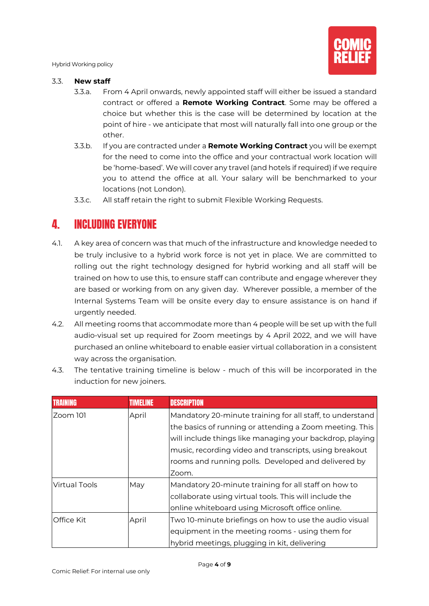

#### 3.3. **New staff**

- 3.3.a. From 4 April onwards, newly appointed staff will either be issued a standard contract or offered a **Remote Working Contract**. Some may be offered a choice but whether this is the case will be determined by location at the point of hire - we anticipate that most will naturally fall into one group or the other.
- 3.3.b. If you are contracted under a **Remote Working Contract** you will be exempt for the need to come into the office and your contractual work location will be 'home-based'. We will cover any travel (and hotels if required) if we require you to attend the office at all. Your salary will be benchmarked to your locations (not London).
- 3.3.c. All staff retain the right to submit Flexible Working Requests.

# <span id="page-5-0"></span>4. INCLUDING EVERYONE

- 4.1. A key area of concern was that much of the infrastructure and knowledge needed to be truly inclusive to a hybrid work force is not yet in place. We are committed to rolling out the right technology designed for hybrid working and all staff will be trained on how to use this, to ensure staff can contribute and engage wherever they are based or working from on any given day. Wherever possible, a member of the Internal Systems Team will be onsite every day to ensure assistance is on hand if urgently needed.
- 4.2. All meeting rooms that accommodate more than 4 people will be set up with the full audio-visual set up required for Zoom meetings by 4 April 2022, and we will have purchased an online whiteboard to enable easier virtual collaboration in a consistent way across the organisation.

|                   | <b>TIMELINE</b> | <b>DESCRIPTION</b>                                        |
|-------------------|-----------------|-----------------------------------------------------------|
| Zoom 101          | April           | Mandatory 20-minute training for all staff, to understand |
|                   |                 | the basics of running or attending a Zoom meeting. This   |
|                   |                 | will include things like managing your backdrop, playing  |
|                   |                 | music, recording video and transcripts, using breakout    |
|                   |                 | rooms and running polls. Developed and delivered by       |
|                   |                 | Zoom.                                                     |
| Virtual Tools     | May             | Mandatory 20-minute training for all staff on how to      |
|                   |                 | collaborate using virtual tools. This will include the    |
|                   |                 | online whiteboard using Microsoft office online.          |
| <b>Office Kit</b> | April           | Two 10-minute briefings on how to use the audio visual    |
|                   |                 | equipment in the meeting rooms - using them for           |
|                   |                 | hybrid meetings, plugging in kit, delivering              |

4.3. The tentative training timeline is below - much of this will be incorporated in the induction for new joiners.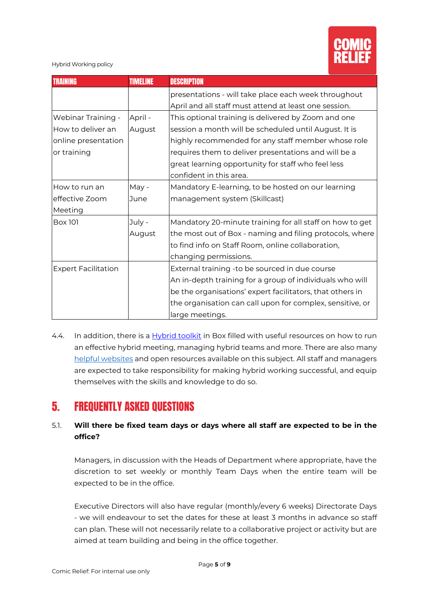

| <b>TRAINING</b>            | <b>TIMELINE</b> | <b>DESCRIPTION</b>                                        |
|----------------------------|-----------------|-----------------------------------------------------------|
|                            |                 | presentations - will take place each week throughout      |
|                            |                 | April and all staff must attend at least one session.     |
| Webinar Training -         | April -         | This optional training is delivered by Zoom and one       |
| How to deliver an          | August          | session a month will be scheduled until August. It is     |
| online presentation        |                 | highly recommended for any staff member whose role        |
| or training                |                 | requires them to deliver presentations and will be a      |
|                            |                 | great learning opportunity for staff who feel less        |
|                            |                 | confident in this area.                                   |
| How to run an              | May -           | Mandatory E-learning, to be hosted on our learning        |
| effective Zoom             | June            | management system (Skillcast)                             |
| Meeting                    |                 |                                                           |
| <b>Box 101</b>             | July -          | Mandatory 20-minute training for all staff on how to get  |
|                            | August          | the most out of Box - naming and filing protocols, where  |
|                            |                 | to find info on Staff Room, online collaboration,         |
|                            |                 | changing permissions.                                     |
| <b>Expert Facilitation</b> |                 | External training -to be sourced in due course            |
|                            |                 | An in-depth training for a group of individuals who will  |
|                            |                 | be the organisations' expert facilitators, that others in |
|                            |                 | the organisation can call upon for complex, sensitive, or |
|                            |                 | large meetings.                                           |

4.4. In addition, there is a [Hybrid toolkit](https://comicrelief.box.com/s/hpse7xledie3lopqhrm09521wthmc3ny) in Box filled with useful resources on how to run an effective hybrid meeting, managing hybrid teams and more. There are also many [helpful websites](https://www.hyperisland.com/business-solutions/remote-working-toolbox) and open resources available on this subject. All staff and managers are expected to take responsibility for making hybrid working successful, and equip themselves with the skills and knowledge to do so.

# <span id="page-6-0"></span>5. FREQUENTLY ASKED QUESTIONS

### 5.1. **Will there be fixed team days or days where all staff are expected to be in the office?**

Managers, in discussion with the Heads of Department where appropriate, have the discretion to set weekly or monthly Team Days when the entire team will be expected to be in the office.

Executive Directors will also have regular (monthly/every 6 weeks) Directorate Days - we will endeavour to set the dates for these at least 3 months in advance so staff can plan. These will not necessarily relate to a collaborative project or activity but are aimed at team building and being in the office together.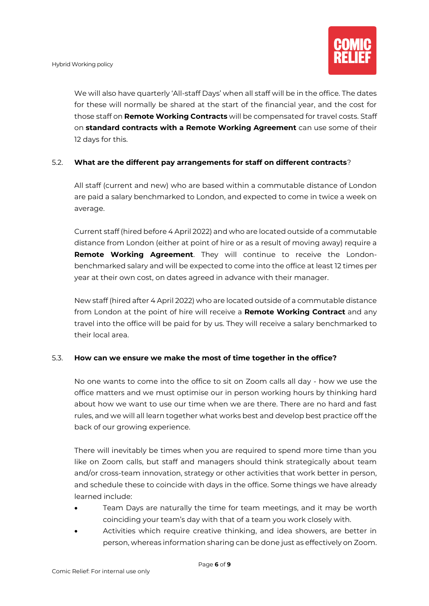

We will also have quarterly 'All-staff Days' when all staff will be in the office. The dates for these will normally be shared at the start of the financial year, and the cost for those staff on **Remote Working Contracts** will be compensated for travel costs. Staff on **standard contracts with a Remote Working Agreement** can use some of their 12 days for this.

### 5.2. **What are the different pay arrangements for staff on different contracts**?

All staff (current and new) who are based within a commutable distance of London are paid a salary benchmarked to London, and expected to come in twice a week on average.

Current staff (hired before 4 April 2022) and who are located outside of a commutable distance from London (either at point of hire or as a result of moving away) require a **Remote Working Agreement**. They will continue to receive the Londonbenchmarked salary and will be expected to come into the office at least 12 times per year at their own cost, on dates agreed in advance with their manager.

New staff (hired after 4 April 2022) who are located outside of a commutable distance from London at the point of hire will receive a **Remote Working Contract** and any travel into the office will be paid for by us. They will receive a salary benchmarked to their local area.

#### 5.3. **How can we ensure we make the most of time together in the office?**

No one wants to come into the office to sit on Zoom calls all day - how we use the office matters and we must optimise our in person working hours by thinking hard about how we want to use our time when we are there. There are no hard and fast rules, and we will all learn together what works best and develop best practice off the back of our growing experience.

There will inevitably be times when you are required to spend more time than you like on Zoom calls, but staff and managers should think strategically about team and/or cross-team innovation, strategy or other activities that work better in person, and schedule these to coincide with days in the office. Some things we have already learned include:

- Team Days are naturally the time for team meetings, and it may be worth coinciding your team's day with that of a team you work closely with.
- Activities which require creative thinking, and idea showers, are better in person, whereas information sharing can be done just as effectively on Zoom.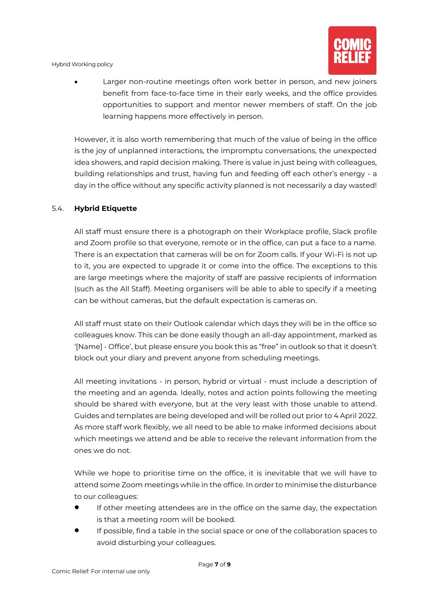

• Larger non-routine meetings often work better in person, and new joiners benefit from face-to-face time in their early weeks, and the office provides opportunities to support and mentor newer members of staff. On the job learning happens more effectively in person.

However, it is also worth remembering that much of the value of being in the office is the joy of unplanned interactions, the impromptu conversations, the unexpected idea showers, and rapid decision making. There is value in just being with colleagues, building relationships and trust, having fun and feeding off each other's energy - a day in the office without any specific activity planned is not necessarily a day wasted!

#### 5.4. **Hybrid Etiquette**

All staff must ensure there is a photograph on their Workplace profile, Slack profile and Zoom profile so that everyone, remote or in the office, can put a face to a name. There is an expectation that cameras will be on for Zoom calls. If your Wi-Fi is not up to it, you are expected to upgrade it or come into the office. The exceptions to this are large meetings where the majority of staff are passive recipients of information (such as the All Staff). Meeting organisers will be able to able to specify if a meeting can be without cameras, but the default expectation is cameras on.

All staff must state on their Outlook calendar which days they will be in the office so colleagues know. This can be done easily though an all-day appointment, marked as '[Name] - Office', but please ensure you book this as "free" in outlook so that it doesn't block out your diary and prevent anyone from scheduling meetings.

All meeting invitations - in person, hybrid or virtual - must include a description of the meeting and an agenda. Ideally, notes and action points following the meeting should be shared with everyone, but at the very least with those unable to attend. Guides and templates are being developed and will be rolled out prior to 4 April 2022. As more staff work flexibly, we all need to be able to make informed decisions about which meetings we attend and be able to receive the relevant information from the ones we do not.

While we hope to prioritise time on the office, it is inevitable that we will have to attend some Zoom meetings while in the office. In order to minimise the disturbance to our colleagues:

- If other meeting attendees are in the office on the same day, the expectation is that a meeting room will be booked.
- If possible, find a table in the social space or one of the collaboration spaces to avoid disturbing your colleagues.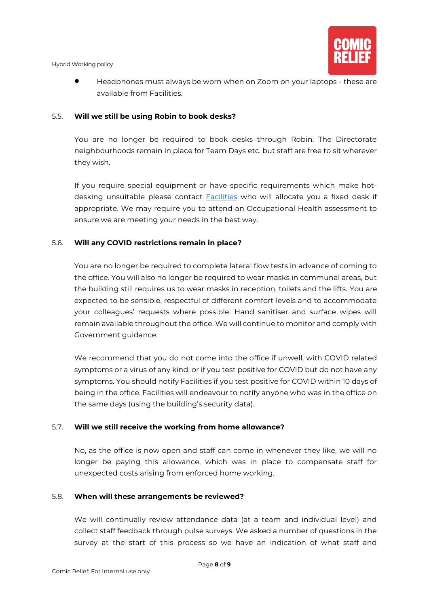

• Headphones must always be worn when on Zoom on your laptops - these are available from Facilities.

#### 5.5. **Will we still be using Robin to book desks?**

You are no longer be required to book desks through Robin. The Directorate neighbourhoods remain in place for Team Days etc. but staff are free to sit wherever they wish.

If you require special equipment or have specific requirements which make hotdesking unsuitable please contact [Facilities](mailto:FacilitiesServices@comicrelief.com) who will allocate you a fixed desk if appropriate. We may require you to attend an Occupational Health assessment to ensure we are meeting your needs in the best way.

#### 5.6. **Will any COVID restrictions remain in place?**

You are no longer be required to complete lateral flow tests in advance of coming to the office. You will also no longer be required to wear masks in communal areas, but the building still requires us to wear masks in reception, toilets and the lifts. You are expected to be sensible, respectful of different comfort levels and to accommodate your colleagues' requests where possible. Hand sanitiser and surface wipes will remain available throughout the office. We will continue to monitor and comply with Government guidance.

We recommend that you do not come into the office if unwell, with COVID related symptoms or a virus of any kind, or if you test positive for COVID but do not have any symptoms. You should notify Facilities if you test positive for COVID within 10 days of being in the office. Facilities will endeavour to notify anyone who was in the office on the same days (using the building's security data).

#### 5.7. **Will we still receive the working from home allowance?**

No, as the office is now open and staff can come in whenever they like, we will no longer be paying this allowance, which was in place to compensate staff for unexpected costs arising from enforced home working.

#### 5.8. **When will these arrangements be reviewed?**

We will continually review attendance data (at a team and individual level) and collect staff feedback through pulse surveys. We asked a number of questions in the survey at the start of this process so we have an indication of what staff and